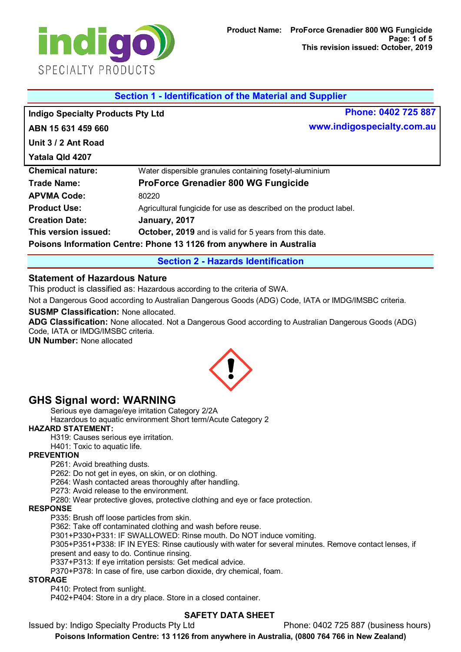

|                                          | Section 1 - Identification of the Material and Supplier              |                            |
|------------------------------------------|----------------------------------------------------------------------|----------------------------|
| <b>Indigo Specialty Products Pty Ltd</b> |                                                                      | Phone: 0402 725 887        |
| ABN 15 631 459 660                       |                                                                      | www.indigospecialty.com.au |
| Unit 3 / 2 Ant Road                      |                                                                      |                            |
| Yatala Qld 4207                          |                                                                      |                            |
| <b>Chemical nature:</b>                  | Water dispersible granules containing fosetyl-aluminium              |                            |
| <b>Trade Name:</b>                       | <b>ProForce Grenadier 800 WG Fungicide</b>                           |                            |
| <b>APVMA Code:</b>                       | 80220                                                                |                            |
| <b>Product Use:</b>                      | Agricultural fungicide for use as described on the product label.    |                            |
| <b>Creation Date:</b>                    | January, 2017                                                        |                            |
| This version issued:                     | October, 2019 and is valid for 5 years from this date.               |                            |
|                                          | Poisons Information Centre: Phone 13 1126 from anywhere in Australia |                            |

**Section 2 - Hazards Identification**

### **Statement of Hazardous Nature**

This product is classified as: Hazardous according to the criteria of SWA.

Not a Dangerous Good according to Australian Dangerous Goods (ADG) Code, IATA or IMDG/IMSBC criteria.

**SUSMP Classification:** None allocated.

**ADG Classification:** None allocated. Not a Dangerous Good according to Australian Dangerous Goods (ADG) Code, IATA or IMDG/IMSBC criteria.

**UN Number:** None allocated



# **GHS Signal word: WARNING**

Serious eye damage/eye irritation Category 2/2A

Hazardous to aquatic environment Short term/Acute Category 2

### **HAZARD STATEMENT:**

H319: Causes serious eye irritation.

H401: Toxic to aquatic life.

### **PREVENTION**

P261: Avoid breathing dusts.

P262: Do not get in eyes, on skin, or on clothing.

P264: Wash contacted areas thoroughly after handling.

P273: Avoid release to the environment.

P280: Wear protective gloves, protective clothing and eye or face protection.

### **RESPONSE**

P335: Brush off loose particles from skin.

P362: Take off contaminated clothing and wash before reuse.

P301+P330+P331: IF SWALLOWED: Rinse mouth. Do NOT induce vomiting.

P305+P351+P338: IF IN EYES: Rinse cautiously with water for several minutes. Remove contact lenses, if present and easy to do. Continue rinsing.

P337+P313: If eye irritation persists: Get medical advice.

P370+P378: In case of fire, use carbon dioxide, dry chemical, foam.

### **STORAGE**

P410: Protect from sunlight.

P402+P404: Store in a dry place. Store in a closed container.

### **SAFETY DATA SHEET**

Issued by: Indigo Specialty Products Pty Ltd Phone: 0402 725 887 (business hours)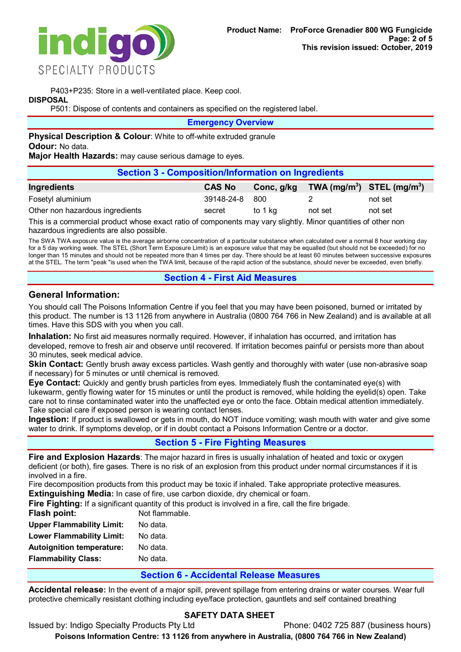

P403+P235: Store in a well-ventilated place. Keep cool.

### **DISPOSAL**

P501: Dispose of contents and containers as specified on the registered label.

**Emergency Overview**

**Physical Description & Colour:** White to off-white extruded granule **Odour:** No data.

**Major Health Hazards:** may cause serious damage to eyes.

| <b>Section 3 - Composition/Information on Ingredients</b> |               |            |         |                                |
|-----------------------------------------------------------|---------------|------------|---------|--------------------------------|
| Ingredients                                               | <b>CAS No</b> | Conc, g/kg |         | TWA $(mg/m^3)$ STEL $(mg/m^3)$ |
| Fosetyl aluminium                                         | 39148-24-8    | 800        |         | not set                        |
| Other non hazardous ingredients                           | secret        | to 1 ka    | not set | not set                        |

This is a commercial product whose exact ratio of components may vary slightly. Minor quantities of other non hazardous ingredients are also possible.

The SWA TWA exposure value is the average airborne concentration of a particular substance when calculated over a normal 8 hour working day for a 5 day working week. The STEL (Short Term Exposure Limit) is an exposure value that may be equalled (but should not be exceeded) for no longer than 15 minutes and should not be repeated more than 4 times per day. There should be at least 60 minutes between successive exposures at the STEL. The term "peak "is used when the TWA limit, because of the rapid action of the substance, should never be exceeded, even briefly.

### **Section 4 - First Aid Measures**

# **General Information:**

You should call The Poisons Information Centre if you feel that you may have been poisoned, burned or irritated by this product. The number is 13 1126 from anywhere in Australia (0800 764 766 in New Zealand) and is available at all times. Have this SDS with you when you call.

**Inhalation:** No first aid measures normally required. However, if inhalation has occurred, and irritation has developed, remove to fresh air and observe until recovered. If irritation becomes painful or persists more than about 30 minutes, seek medical advice.

**Skin Contact:** Gently brush away excess particles. Wash gently and thoroughly with water (use non-abrasive soap if necessary) for 5 minutes or until chemical is removed.

**Eye Contact:** Quickly and gently brush particles from eyes. Immediately flush the contaminated eye(s) with lukewarm, gently flowing water for 15 minutes or until the product is removed, while holding the eyelid(s) open. Take care not to rinse contaminated water into the unaffected eye or onto the face. Obtain medical attention immediately. Take special care if exposed person is wearing contact lenses.

**Ingestion:** If product is swallowed or gets in mouth, do NOT induce vomiting; wash mouth with water and give some water to drink. If symptoms develop, or if in doubt contact a Poisons Information Centre or a doctor.

# **Section 5 - Fire Fighting Measures**

**Fire and Explosion Hazards**: The major hazard in fires is usually inhalation of heated and toxic or oxygen deficient (or both), fire gases. There is no risk of an explosion from this product under normal circumstances if it is involved in a fire.

Fire decomposition products from this product may be toxic if inhaled. Take appropriate protective measures. **Extinguishing Media:** In case of fire, use carbon dioxide, dry chemical or foam.

Fire Fiahting: If a significant quantity of this product is involved in a fire, call the fire brigade.

| Flash point:                     | Not flammable. |
|----------------------------------|----------------|
| <b>Upper Flammability Limit:</b> | No data.       |
| <b>Lower Flammability Limit:</b> | No data.       |
| <b>Autoignition temperature:</b> | No data.       |
| <b>Flammability Class:</b>       | No data.       |
|                                  |                |

### **Section 6 - Accidental Release Measures**

**Accidental release:** In the event of a major spill, prevent spillage from entering drains or water courses. Wear full protective chemically resistant clothing including eye/face protection, gauntlets and self contained breathing

# **SAFETY DATA SHEET**

Issued by: Indigo Specialty Products Pty Ltd Phone: 0402 725 887 (business hours)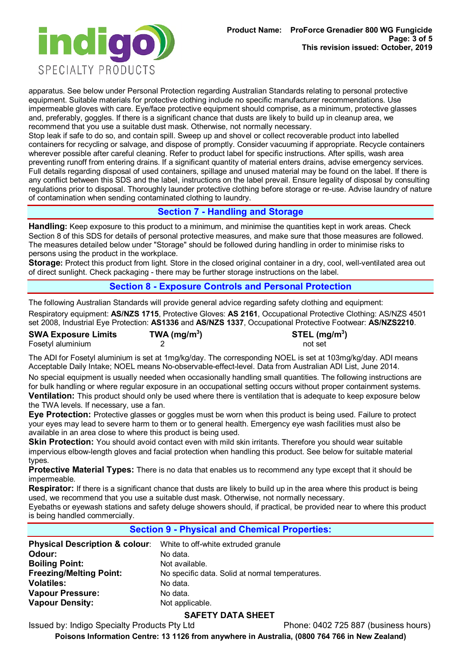

apparatus. See below under Personal Protection regarding Australian Standards relating to personal protective equipment. Suitable materials for protective clothing include no specific manufacturer recommendations. Use impermeable gloves with care. Eye/face protective equipment should comprise, as a minimum, protective glasses and, preferably, goggles. If there is a significant chance that dusts are likely to build up in cleanup area, we recommend that you use a suitable dust mask. Otherwise, not normally necessary.

Stop leak if safe to do so, and contain spill. Sweep up and shovel or collect recoverable product into labelled containers for recycling or salvage, and dispose of promptly. Consider vacuuming if appropriate. Recycle containers wherever possible after careful cleaning. Refer to product label for specific instructions. After spills, wash area preventing runoff from entering drains. If a significant quantity of material enters drains, advise emergency services. Full details regarding disposal of used containers, spillage and unused material may be found on the label. If there is any conflict between this SDS and the label, instructions on the label prevail. Ensure legality of disposal by consulting regulations prior to disposal. Thoroughly launder protective clothing before storage or re-use. Advise laundry of nature of contamination when sending contaminated clothing to laundry.

# **Section 7 - Handling and Storage**

**Handling:** Keep exposure to this product to a minimum, and minimise the quantities kept in work areas. Check Section 8 of this SDS for details of personal protective measures, and make sure that those measures are followed. The measures detailed below under "Storage" should be followed during handling in order to minimise risks to persons using the product in the workplace.

**Storage:** Protect this product from light. Store in the closed original container in a dry, cool, well-ventilated area out of direct sunlight. Check packaging - there may be further storage instructions on the label.

### **Section 8 - Exposure Controls and Personal Protection**

The following Australian Standards will provide general advice regarding safety clothing and equipment:

Respiratory equipment: **AS/NZS 1715**, Protective Gloves: **AS 2161**, Occupational Protective Clothing: AS/NZS 4501 set 2008, Industrial Eye Protection: **AS1336** and **AS/NZS 1337**, Occupational Protective Footwear: **AS/NZS2210**.

| <b>SWA Exposure Limits</b> | TWA ( $mg/m3$ ) | STEL (mg/m <sup>3</sup> ) |
|----------------------------|-----------------|---------------------------|
| Fosetyl aluminium          |                 | not set                   |

The ADI for Fosetyl aluminium is set at 1mg/kg/day. The corresponding NOEL is set at 103mg/kg/day. ADI means Acceptable Daily Intake; NOEL means No-observable-effect-level. Data from Australian ADI List, June 2014.

No special equipment is usually needed when occasionally handling small quantities. The following instructions are for bulk handling or where regular exposure in an occupational setting occurs without proper containment systems. **Ventilation:** This product should only be used where there is ventilation that is adequate to keep exposure below

the TWA levels. If necessary, use a fan. **Eye Protection:** Protective glasses or goggles must be worn when this product is being used. Failure to protect your eyes may lead to severe harm to them or to general health. Emergency eye wash facilities must also be available in an area close to where this product is being used.

**Skin Protection:** You should avoid contact even with mild skin irritants. Therefore you should wear suitable impervious elbow-length gloves and facial protection when handling this product. See below for suitable material types.

**Protective Material Types:** There is no data that enables us to recommend any type except that it should be impermeable.

**Respirator:** If there is a significant chance that dusts are likely to build up in the area where this product is being used, we recommend that you use a suitable dust mask. Otherwise, not normally necessary.

Eyebaths or eyewash stations and safety deluge showers should, if practical, be provided near to where this product is being handled commercially.

| <b>Section 9 - Physical and Chemical Properties:</b> |                                                 |
|------------------------------------------------------|-------------------------------------------------|
| <b>Physical Description &amp; colour:</b>            | White to off-white extruded granule             |
| Odour:                                               | No data.                                        |
| <b>Boiling Point:</b>                                | Not available.                                  |
| <b>Freezing/Melting Point:</b>                       | No specific data. Solid at normal temperatures. |
| <b>Volatiles:</b>                                    | No data.                                        |
| <b>Vapour Pressure:</b>                              | No data.                                        |
| <b>Vapour Density:</b>                               | Not applicable.                                 |

### **SAFETY DATA SHEET**

Issued by: Indigo Specialty Products Pty Ltd Phone: 0402 725 887 (business hours)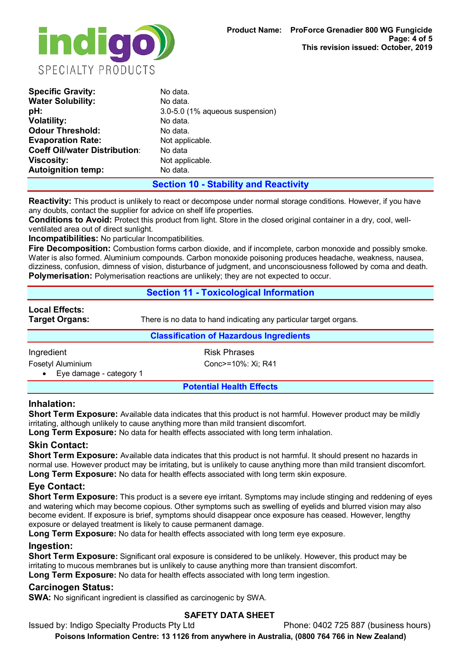

| No data.                        |
|---------------------------------|
| No data.                        |
| 3.0-5.0 (1% aqueous suspension) |
| No data.                        |
| No data.                        |
| Not applicable.                 |
| No data                         |
| Not applicable.                 |
| No data.                        |
|                                 |

# **Section 10 - Stability and Reactivity**

**Reactivity:** This product is unlikely to react or decompose under normal storage conditions. However, if you have any doubts, contact the supplier for advice on shelf life properties.

**Conditions to Avoid:** Protect this product from light. Store in the closed original container in a dry, cool, wellventilated area out of direct sunlight.

**Incompatibilities:** No particular Incompatibilities.

**Fire Decomposition:** Combustion forms carbon dioxide, and if incomplete, carbon monoxide and possibly smoke. Water is also formed. Aluminium compounds. Carbon monoxide poisoning produces headache, weakness, nausea, dizziness, confusion, dimness of vision, disturbance of judgment, and unconsciousness followed by coma and death. **Polymerisation:** Polymerisation reactions are unlikely; they are not expected to occur.

### **Section 11 - Toxicological Information**

# **Local Effects:**

**Target Organs:** There is no data to hand indicating any particular target organs.

### **Classification of Hazardous Ingredients**

Ingredient **Risk Phrases** 

• Eye damage - category 1

Fosetyl Aluminium Conc>=10%: Xi; R41

**Potential Health Effects**

### **Inhalation:**

**Short Term Exposure:** Available data indicates that this product is not harmful. However product may be mildly irritating, although unlikely to cause anything more than mild transient discomfort.

**Long Term Exposure:** No data for health effects associated with long term inhalation.

### **Skin Contact:**

**Short Term Exposure:** Available data indicates that this product is not harmful. It should present no hazards in normal use. However product may be irritating, but is unlikely to cause anything more than mild transient discomfort. **Long Term Exposure:** No data for health effects associated with long term skin exposure.

# **Eye Contact:**

**Short Term Exposure:** This product is a severe eye irritant. Symptoms may include stinging and reddening of eyes and watering which may become copious. Other symptoms such as swelling of eyelids and blurred vision may also become evident. If exposure is brief, symptoms should disappear once exposure has ceased. However, lengthy exposure or delayed treatment is likely to cause permanent damage.

Long Term Exposure: No data for health effects associated with long term eye exposure.

### **Ingestion:**

**Short Term Exposure:** Significant oral exposure is considered to be unlikely. However, this product may be irritating to mucous membranes but is unlikely to cause anything more than transient discomfort. **Long Term Exposure:** No data for health effects associated with long term ingestion.

### **Carcinogen Status:**

**SWA:** No significant ingredient is classified as carcinogenic by SWA.

### **SAFETY DATA SHEET**

Issued by: Indigo Specialty Products Pty Ltd Phone: 0402 725 887 (business hours)